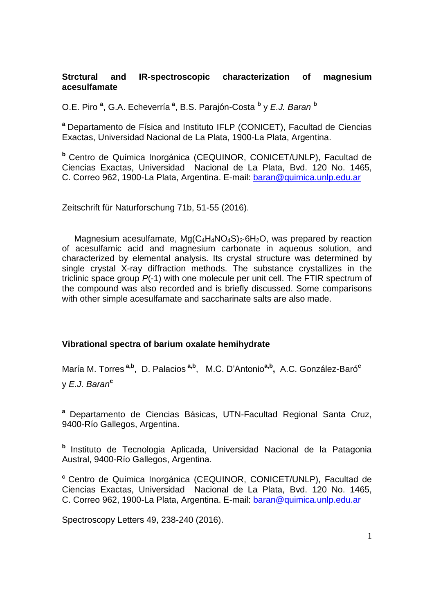### **Strctural and IR-spectroscopic characterization of magnesium acesulfamate**

O.E. Piro **<sup>a</sup>** , G.A. Echeverría **<sup>a</sup>** , B.S. Parajón-Costa **<sup>b</sup>** y *E.J. Baran* **<sup>b</sup>**

**<sup>a</sup>** Departamento de Física and Instituto IFLP (CONICET), Facultad de Ciencias Exactas, Universidad Nacional de La Plata, 1900-La Plata, Argentina.

**<sup>b</sup>** Centro de Química Inorgánica (CEQUINOR, CONICET/UNLP), Facultad de Ciencias Exactas, Universidad Nacional de La Plata, Bvd. 120 No. 1465, C. Correo 962, 1900-La Plata, Argentina. E-mail: [baran@quimica.unlp.edu.ar](mailto:baran@quimica.unlp.edu.ar) 

Zeitschrift für Naturforschung 71b, 51-55 (2016).

Magnesium acesulfamate,  $Mq(C_4H_4NO_4S)$ <sup>2</sup>·6H<sub>2</sub>O, was prepared by reaction of acesulfamic acid and magnesium carbonate in aqueous solution, and characterized by elemental analysis. Its crystal structure was determined by single crystal X-ray diffraction methods. The substance crystallizes in the triclinic space group *P*(-1) with one molecule per unit cell. The FTIR spectrum of the compound was also recorded and is briefly discussed. Some comparisons with other simple acesulfamate and saccharinate salts are also made.

# **Vibrational spectra of barium oxalate hemihydrate**

María M. Torres **a,b** , D. Palacios **a,b** , M.C. D'Antonio**a,b ,** A.C. González-Baró**<sup>c</sup>** y *E.J. Baran***<sup>c</sup>**

**<sup>a</sup>** Departamento de Ciencias Básicas, UTN-Facultad Regional Santa Cruz, 9400-Río Gallegos, Argentina.

**b** Instituto de Tecnologia Aplicada, Universidad Nacional de la Patagonia Austral, 9400-Río Gallegos, Argentina.

**<sup>c</sup>** Centro de Química Inorgánica (CEQUINOR, CONICET/UNLP), Facultad de Ciencias Exactas, Universidad Nacional de La Plata, Bvd. 120 No. 1465, C. Correo 962, 1900-La Plata, Argentina. E-mail: [baran@quimica.unlp.edu.ar](mailto:baran@quimica.unlp.edu.ar)

Spectroscopy Letters 49, 238-240 (2016).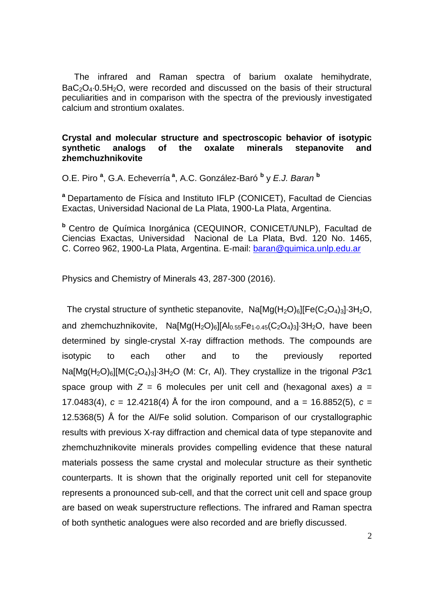The infrared and Raman spectra of barium oxalate hemihydrate,  $BaC<sub>2</sub>O<sub>4</sub>·0.5H<sub>2</sub>O$ , were recorded and discussed on the basis of their structural peculiarities and in comparison with the spectra of the previously investigated calcium and strontium oxalates.

### **Crystal and molecular structure and spectroscopic behavior of isotypic synthetic analogs of the oxalate minerals stepanovite and zhemchuzhnikovite**

O.E. Piro **<sup>a</sup>** , G.A. Echeverría **<sup>a</sup>** , A.C. González-Baró **<sup>b</sup>** y *E.J. Baran* **<sup>b</sup>**

**<sup>a</sup>** Departamento de Física and Instituto IFLP (CONICET), Facultad de Ciencias Exactas, Universidad Nacional de La Plata, 1900-La Plata, Argentina.

**<sup>b</sup>** Centro de Química Inorgánica (CEQUINOR, CONICET/UNLP), Facultad de Ciencias Exactas, Universidad Nacional de La Plata, Bvd. 120 No. 1465, C. Correo 962, 1900-La Plata, Argentina. E-mail: [baran@quimica.unlp.edu.ar](mailto:baran@quimica.unlp.edu.ar) 

Physics and Chemistry of Minerals 43, 287-300 (2016).

The crystal structure of synthetic stepanovite,  $Na[Mg(H_2O)_6][Fe(C_2O_4)_3]\cdot 3H_2O$ , and zhemchuzhnikovite,  $Na[Mg(H_2O)_6][Al_{0.55}Fe_{1-0.45}(C_2O_4)_3]\cdot 3H_2O$ , have been determined by single-crystal X-ray diffraction methods. The compounds are isotypic to each other and to the previously reported Na[Mg(H<sub>2</sub>O)<sub>6</sub>][M(C<sub>2</sub>O<sub>4</sub>)<sub>3</sub>]·3H<sub>2</sub>O (M: Cr, AI). They crystallize in the trigonal *P*3*c*1 space group with  $Z = 6$  molecules per unit cell and (hexagonal axes)  $a =$ 17.0483(4),  $c = 12.4218(4)$  Å for the iron compound, and a = 16.8852(5),  $c =$ 12.5368(5) Å for the Al/Fe solid solution. Comparison of our crystallographic results with previous X-ray diffraction and chemical data of type stepanovite and zhemchuzhnikovite minerals provides compelling evidence that these natural materials possess the same crystal and molecular structure as their synthetic counterparts. It is shown that the originally reported unit cell for stepanovite represents a pronounced sub-cell, and that the correct unit cell and space group are based on weak superstructure reflections. The infrared and Raman spectra of both synthetic analogues were also recorded and are briefly discussed.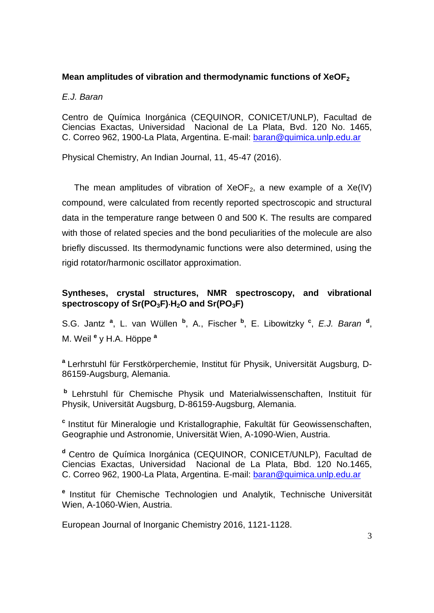# **Mean amplitudes of vibration and thermodynamic functions of XeOF<sup>2</sup>**

*E.J. Baran*

Centro de Química Inorgánica (CEQUINOR, CONICET/UNLP), Facultad de Ciencias Exactas, Universidad Nacional de La Plata, Bvd. 120 No. 1465, C. Correo 962, 1900-La Plata, Argentina. E-mail: [baran@quimica.unlp.edu.ar](mailto:baran@quimica.unlp.edu.ar) 

Physical Chemistry, An Indian Journal, 11, 45-47 (2016).

The mean amplitudes of vibration of  $XeOF_2$ , a new example of a  $Xe(IV)$ compound, were calculated from recently reported spectroscopic and structural data in the temperature range between 0 and 500 K. The results are compared with those of related species and the bond peculiarities of the molecule are also briefly discussed. Its thermodynamic functions were also determined, using the rigid rotator/harmonic oscillator approximation.

# **Syntheses, crystal structures, NMR spectroscopy, and vibrational spectroscopy of Sr(PO3F)H2O and Sr(PO3F)**

S.G. Jantz<sup>a</sup>, L. van Wüllen<sup>b</sup>, A., Fischer<sup>b</sup>, E. Libowitzky<sup>c</sup>, *E.J. Baran*<sup>d</sup>, M. Weil **<sup>e</sup>** y H.A. Höppe **<sup>a</sup>**

**a** Lerhrstuhl für Ferstkörperchemie, Institut für Physik, Universität Augsburg, D-86159-Augsburg, Alemania.

**b** Lehrstuhl für Chemische Physik und Materialwissenschaften, Instituit für Physik, Universität Augsburg, D-86159-Augsburg, Alemania.

**c** Institut für Mineralogie und Kristallographie, Fakultät für Geowissenschaften, Geographie und Astronomie, Universität Wien, A-1090-Wien, Austria.

**<sup>d</sup>** Centro de Química Inorgánica (CEQUINOR, CONICET/UNLP), Facultad de Ciencias Exactas, Universidad Nacional de La Plata, Bbd. 120 No.1465, C. Correo 962, 1900-La Plata, Argentina. E-mail: [baran@quimica.unlp.edu.ar](mailto:baran@quimica.unlp.edu.ar) 

**e** Institut für Chemische Technologien und Analytik, Technische Universität Wien, A-1060-Wien, Austria.

European Journal of Inorganic Chemistry 2016, 1121-1128.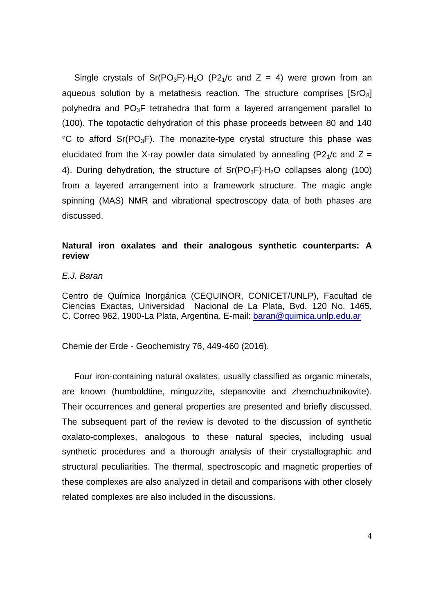Single crystals of Sr(PO<sub>3</sub>F) $H_2O$  (P2<sub>1</sub>/c and Z = 4) were grown from an aqueous solution by a metathesis reaction. The structure comprises [SrO<sub>8</sub>] polyhedra and PO3F tetrahedra that form a layered arrangement parallel to (100). The topotactic dehydration of this phase proceeds between 80 and 140  $\degree$ C to afford Sr(PO<sub>3</sub>F). The monazite-type crystal structure this phase was elucidated from the X-ray powder data simulated by annealing (P2<sub>1</sub>/c and  $Z =$ 4). During dehydration, the structure of  $Sr(PO<sub>3</sub>F)<sup>1</sup>·H<sub>2</sub>O$  collapses along (100) from a layered arrangement into a framework structure. The magic angle spinning (MAS) NMR and vibrational spectroscopy data of both phases are discussed.

# **Natural iron oxalates and their analogous synthetic counterparts: A review**

#### *E.J. Baran*

Centro de Química Inorgánica (CEQUINOR, CONICET/UNLP), Facultad de Ciencias Exactas, Universidad Nacional de La Plata, Bvd. 120 No. 1465, C. Correo 962, 1900-La Plata, Argentina. E-mail: [baran@quimica.unlp.edu.ar](mailto:baran@quimica.unlp.edu.ar) 

Chemie der Erde - Geochemistry 76, 449-460 (2016).

 Four iron-containing natural oxalates, usually classified as organic minerals, are known (humboldtine, minguzzite, stepanovite and zhemchuzhnikovite). Their occurrences and general properties are presented and briefly discussed. The subsequent part of the review is devoted to the discussion of synthetic oxalato-complexes, analogous to these natural species, including usual synthetic procedures and a thorough analysis of their crystallographic and structural peculiarities. The thermal, spectroscopic and magnetic properties of these complexes are also analyzed in detail and comparisons with other closely related complexes are also included in the discussions.